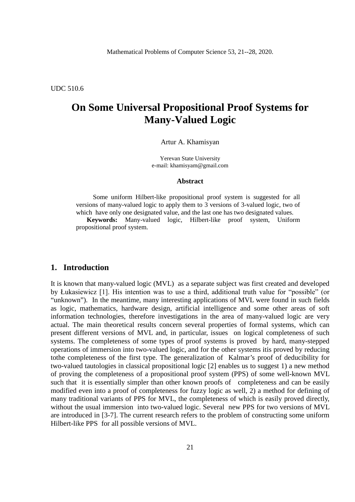Mathematical Problems of Computer Science 53, 21--28, 2020.

UDC 510.6

## **On Some Universal Propositional Proof Systems for Many-Valued Logic**

#### Artur A. Khamisyan

Yerevan State University e-mail: khamisyam@gmail.com

#### **Abstract**

Some uniform Hilbert-like propositional proof system is suggested for all versions of many-valued logic to apply them to 3 versions of 3-valued logic, two of which have only one designated value, and the last one has two designated values.

**Keywords:** Many-valued logic, Hilbert-like proof system, Uniform propositional proof system.

### **1. Introduction**

It is known that many-valued logic (MVL) as a separate subject was first created and developed by Łukasiewicz [1]. His intention was to use a third, additional truth value for "possible" (or "unknown"). In the meantime, many interesting applications of MVL were found in such fields as logic, mathematics, hardware design, artificial intelligence and some other areas of soft information technologies, therefore investigations in the area of many-valued logic are very actual. The main theoretical results concern several properties of formal systems, which can present different versions of MVL and, in particular, issues on logical completeness of such systems. The completeness of some types of proof systems is proved by hard, many-stepped operations of immersion into two-valued logic, and for the other systems itis proved by reducing tothe completeness of the first type. The generalization of Kalmar's proof of deducibility for two-valued tautologies in classical propositional logic [2] enables us to suggest 1) a new method of proving the completeness of a propositional proof system (PPS) of some well-known MVL such that it is essentially simpler than other known proofs of completeness and can be easily modified even into a proof of completeness for fuzzy logic as well, 2) a method for defining of many traditional variants of PPS for MVL, the completeness of which is easily proved directly, without the usual immersion into two-valued logic. Several new PPS for two versions of MVL are introduced in [3-7]. The current research refers to the problem of constructing some uniform Hilbert-like PPS for all possible versions of MVL.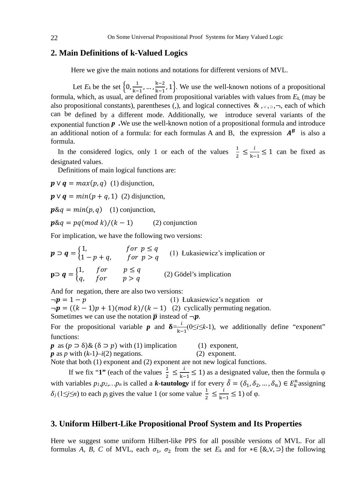### **2. Main Definitions of k-Valued Logics**

Here we give the main notions and notations for different versions of MVL.

Let  $E_k$  be the set  $\left\{0, \frac{1}{k-1}, \dots, \frac{k-2}{k-1}, 1\right\}$ . We use the well-known notions of a propositional formula, which, as usual, are defined from propositional variables with values from  $E_k$  (may be also propositional constants), parentheses (,), and logical connectives  $\&$ ,  $\vee$ ,  $\neg$ ,  $\neg$ , each of which can be defined by a different mode. Additionally, we introduce several variants of the exponential function *p .*We use the well-known notion of a propositional formula and introduce an additional notion of a formula: for each formulas A and B, the expression  $A^B$  is also a formula.

In the considered logics, only 1 or each of the values  $\frac{1}{2} \leq \frac{l}{k-1} \leq 1$  can be fixed as designated values.

Definitions of main logical functions are:

 $\mathbf{p} \vee \mathbf{q} = max(p, q)$  (1) disjunction,

 $\mathbf{p} \vee \mathbf{q} = min(p + q, 1)$  (2) disjunction,

 $\mathbf{p} \& q = \min(p, q)$  (1) conjunction,

 $\mathbf{p}\&\mathbf{q} = \mathbf{p}\mathbf{q}(\mathbf{m}\mathbf{od}\mathbf{k})/(k-1)$  (2) conjunction

For implication, we have the following two versions:

 $p \supset q = \begin{cases} 1, & for p \le q \\ 1 - n + a, & for p > a \end{cases}$  $1-p+q$ , for  $p > q$  (1) Łukasiewicz's implication or  $\mathbf{p} \supset \mathbf{q} = \begin{cases} 1, & for \\ q, & for \end{cases}$   $\mathbf{p} \le q$  (2) Gödel's implication

And for negation, there are also two versions:

 $\neg p = 1 - p$  (1) Lukasiewicz's negation or  $\neg p = ((k-1)p + 1) (mod k)/(k-1)$  (2) cyclically permuting negation. Sometimes we can use the notation  $\bar{p}$  instead of  $\neg p$ .

For the propositional variable *p* and  $\delta = \frac{l}{k-1}(0 \le i \le k-1)$ , we additionally define "exponent" functions:

*p* as  $(p \supset \delta)$ &  $(\delta \supset p)$  with (1) implication (1) exponent,<br> *p* as *p* with  $(k-1) - i(2)$  negations. (2) exponent.  $p$  as  $p$  with  $(k-1)$ – $i(2)$  negations.

Note that both (1) exponent and (2) exponent are not new logical functions.

If we fix "**1"** (each of the values  $\frac{1}{2} \leq \frac{l}{k-1} \leq 1$ ) as a designated value, then the formula  $\varphi$ with variables  $p_1, p_2,...,p_n$  is called a *k***-tautology** if for every  $\delta = (\delta_1, \delta_2, ..., \delta_n) \in E_k^n$  assigning  $\delta_j$  (1≤*j*≤*n*) to each *p<sub>j</sub>* gives the value 1 (or some value  $\frac{1}{2} \leq \frac{l}{k-1} \leq 1$ ) of  $\varphi$ .

### **3. Uniform Hilbert-Like Propositional Proof System and Its Properties**

Here we suggest some uniform Hilbert-like PPS for all possible versions of MVL. For all formulas *A, B, C* of MVL, each 1, 2 from the set *Ek* and for ∗∈ {&,∨, ⊃} the following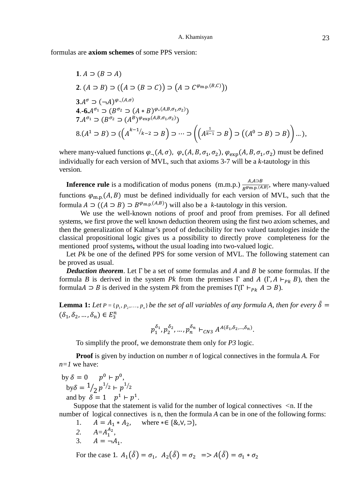formulas are **axiom schemes** of some PPS version:

1. 
$$
A \supset (B \supset A)
$$
  
\n2.  $(A \supset B) \supset ((A \supset (B \supset C)) \supset (A \supset C^{\varphi_{m,p}(B,C)}))$   
\n3.  $A^{\sigma} \supset (\neg A)^{\varphi_{\neg}(A,\sigma)}$   
\n4. -6.  $A^{\sigma_1} \supset (B^{\sigma_2} \supset (A * B)^{\varphi_{*}(A,B,\sigma_1,\sigma_2)})$   
\n7.  $A^{\sigma_1} \supset (B^{\sigma_2} \supset (A^B)^{\varphi_{exp}(A,B,\sigma_1,\sigma_2)})$   
\n8.  $(A^1 \supset B) \supset ((A^{k-1}/_{k-2} \supset B) \supset \cdots \supset ((A^{k-1} \supset B) \supset ((A^0 \supset B) \supset B)) \cdots),$ 

where many-valued functions  $\varphi_{-}(A,\sigma)$ ,  $\varphi_{*}(A, B, \sigma_{1}, \sigma_{2})$ ,  $\varphi_{\exp}(A, B, \sigma_{1}, \sigma_{2})$  must be defined individually for each version of MVL, such that axioms 3-7 will be a *k*-tautolog*y* in this version*.*

**Inference rule** is a modification of modus ponens  $(m.m.p.) \frac{A,A \to B}{B^{\varphi_{m.p.}(A,B)}}$ , where many-valued functions  $\varphi_{m,p}(A, B)$  must be defined individually for each version of MVL, such that the formula  $A \supset ((A \supset B) \supset B^{\varphi_{m,p}(A,B)})$  will also be a *k*-tautology in this version.

 We use the well-known notions of proof and proof from premises. For all defined systems, we first prove the well known deduction theorem using the first two axiom schemes, and then the generalization of Kalmar's proof of deducibility for two valued tautologies inside the classical propositional logic gives us a possibility to directly prove completeness for the mentioned proof systems**,** without the usual loading into two-valued logic.

Let *Pk* be one of the defined PPS for some version of MVL. The following statement can be proved as usual.

*Deduction theorem*. Let  $\Gamma$  be a set of some formulas and A and B be some formulas. If the formula *B* is derived in the system *Pk* from the premises  $\Gamma$  and  $A(\Gamma, A \vdash_{Pk} B)$ , then the formula  $\Delta \supset B$  is derived in the system *Pk* from the premises  $\Gamma(\Gamma \vdash_{Pk} A \supset B)$ .

**Lemma 1:** Let  $P = \{p_1, p_2, \ldots, p_n\}$  be the set of all variables of any formula A, then for every  $\tilde{\delta} =$  $(\delta_1, \delta_2, ..., \delta_n) \in E_3^n$ 

$$
p_1^{\delta_1}, p_2^{\delta_2}, \ldots, p_n^{\delta_n} \vdash_{CN3} A^{A(\delta_1, \delta_2, \ldots, \delta_n)}.
$$

To simplify the proof, we demonstrate them only for *P3* logic.

**Proof** is given by induction on number *n* of logical connectives in the formula *A*. For *n=1* we have:

by 
$$
\delta = 0
$$
  $p^0 \vdash p^0$ ,  
by  $\delta = \frac{1}{2} p^{\frac{1}{2}} \vdash p^{\frac{1}{2}}$   
and by  $\delta = 1$   $p^1 \vdash p^1$ .

Suppose that the statement is valid for the number of logical connectives *˂*n. If the number of logical connectives is n, then the formula *A* can be in one of the following forms:

- 1.  $A = A_1 * A_2$ , where ∗∈ {&,  $\vee$ ,  $\supset$ },
- 2.  $A=A_1^{A_2}$ ,
- 3.  $A = \neg A_1$ .

For the case 1.  $A_1(\tilde{\delta}) = \sigma_1$ ,  $A_2(\tilde{\delta}) = \sigma_2 \Rightarrow A(\tilde{\delta}) = \sigma_1 * \sigma_2$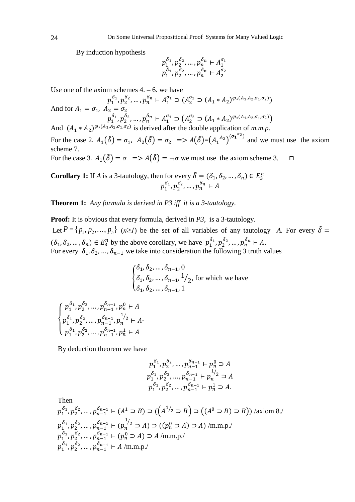By induction hypothesis

$$
p_1^{\delta_1}, p_2^{\delta_2}, \dots, p_n^{\delta_n} \vdash A_1^{\sigma_1} p_1^{\delta_1}, p_2^{\delta_2}, \dots, p_n^{\delta_n} \vdash A_2^{\sigma_2}
$$

Use one of the axiom schemes  $4. - 6$ . we have

$$
p_1^{\delta_1}, p_2^{\delta_2}, \dots, p_n^{\delta_n} \vdash A_1^{\sigma_1} \supset (A_2^{\sigma_2} \supset (A_1 * A_2)^{\varphi_*(A_1, A_2, \sigma_1, \sigma_2)})
$$
  
And for  $A_1 = \sigma_1$ ,  $A_2 = \sigma_2$   
 $p_1^{\delta_1}, p_2^{\delta_2}, \dots, p_n^{\delta_n} \vdash A_1^{\sigma_1} \supset (A_2^{\sigma_2} \supset (A_1 * A_2)^{\varphi_*(A_1, A_2, \sigma_1, \sigma_2)})$   
And  $(A_1 * A_2)^{\varphi_*(A_1, A_2, \sigma_1, \sigma_2)}$  is derived after the double application of *m.m.p.*

For the case 2.  $A_1(\tilde{\delta}) = \sigma_1$ ,  $A_2(\tilde{\delta}) = \sigma_2 \implies A(\tilde{\delta}) = (A_1{}^{A_2})^{(\sigma_1{}^{\sigma_2})}$  and we must use the axiom scheme 7.

For the case 3.  $A_1(\tilde{\delta}) = \sigma \implies A(\tilde{\delta}) = -\sigma$  we must use the axiom scheme 3.  $\Box$ 

**Corollary 1:** If *A* is a 3-tautology, then for every  $\delta = (\delta_1, \delta_2, ..., \delta_n) \in E_3^n$  $p_1^{o_1}, p_2^{o_2}, \ldots, p_n^{o_n} \vdash A$ 

**Theorem 1:** *Any formula is derived in P3 iff it is a 3-tautology.*

**Proof:** It is obvious that every formula, derived in *P3,* is a 3-tautology. Let  $P = \{p_1, p_2, ..., p_n\}$   $(n \geq I)$  be the set of all variables of any tautology *A*. For every  $\delta =$  $(\delta_1, \delta_2, ..., \delta_n) \in E_3^n$  by the above corollary, we have  $p_1^{\delta_1}, p_2^{\delta_2}, ..., p_n^{\delta_n} \vdash A$ . For every  $\delta_1, \delta_2, ..., \delta_{n-1}$  we take into consideration the following 3 truth values

$$
\begin{cases} \delta_1, \delta_2, \dots, \delta_{n-1}, 0 \\ \delta_1, \delta_2, \dots, \delta_{n-1}, \frac{1}{2}, \text{ for which we have} \\ \delta_1, \delta_2, \dots, \delta_{n-1}, 1 \end{cases}
$$

$$
\begin{cases}\np_1^{\delta_1}, p_2^{\delta_2}, \dots, p_{n-1}^{\delta_{n-1}}, p_n^0 \vdash A \\
p_1^{\delta_1}, p_2^{\delta_2}, \dots, p_{n-1}^{\delta_{n-1}}, p_n^{1/2} \vdash A \\
p_1^{\delta_1}, p_2^{\delta_2}, \dots, p_{n-1}^{\delta_{n-1}}, p_n^1 \vdash A\n\end{cases}
$$

By deduction theorem we have

$$
p_1^{\delta_1}, p_2^{\delta_2}, \dots, p_{n-1}^{\delta_{n-1}} \vdash p_n^0 \supset A
$$
  
\n
$$
p_1^{\delta_1}, p_2^{\delta_2}, \dots, p_{n-1}^{\delta_{n-1}} \vdash p_n^{1/2} \supset A
$$
  
\n
$$
p_1^{\delta_1}, p_2^{\delta_2}, \dots, p_{n-1}^{\delta_{n-1}} \vdash p_n^1 \supset A.
$$

Then

$$
p_1^{\delta_1}, p_2^{\delta_2}, \dots, p_{n-1}^{\delta_{n-1}} \vdash (A^1 \supset B) \supset ((A^{1/2} \supset B) \supset ((A^0 \supset B) \supset B)) / \text{axiom } 8.
$$
  
\n
$$
p_1^{\delta_1}, p_2^{\delta_2}, \dots, p_{n-1}^{\delta_{n-1}} \vdash (p_n^{1/2} \supset A) \supset ((p_n^0 \supset A) \supset A) / \text{m.m.p.}/
$$
  
\n
$$
p_1^{\delta_1}, p_2^{\delta_2}, \dots, p_{n-1}^{\delta_{n-1}} \vdash (p_n^0 \supset A) \supset A / \text{m.m.p.}/
$$
  
\n
$$
p_1^{\delta_1}, p_2^{\delta_2}, \dots, p_{n-1}^{\delta_{n-1}} \vdash A / \text{m.m.p.}/
$$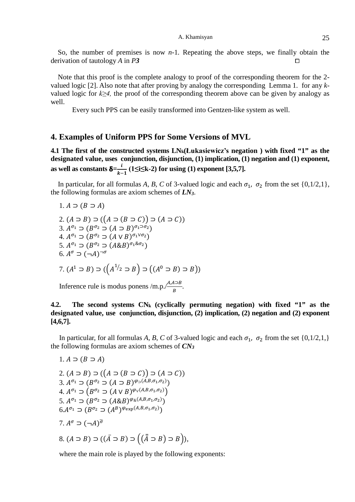So, the number of premises is now *n-*1*.* Repeating the above steps, we finally obtain the derivation of tautology *A* in *P***3** 

Note that this proof is the complete analogy to proof of the corresponding theorem for the 2 valued logic [2]. Also note that after proving by analogy the corresponding Lemma 1. for any *k*valued logic for *k≥4,* the proof of the corresponding theorem above can be given by analogy as well.

Every such PPS can be easily transformed into Gentzen-like system as well.

#### **4. Examples of Uniform PPS for Some Versions of MVL**

**4.1 The first of the constructed systems LNk(Łukasiewicz's negation ) with fixed "1" as the designated value, uses conjunction, disjunction, (1) implication, (1) negation and (1) exponent, as well as constants**  $\delta = \frac{\iota}{k-1} (1 \leq i \leq k-2)$  **for using (1) exponent [3,5,7].** 

In particular, for all formulas *A*, *B*, *C* of 3-valued logic and each  $\sigma_1$ ,  $\sigma_2$  from the set {0,1/2,1}, the following formulas are axiom schemes of *LN3*.

1. 
$$
A \supset (B \supset A)
$$
  
\n2.  $(A \supset B) \supset ((A \supset (B \supset C)) \supset (A \supset C))$   
\n3.  $A^{\sigma_1} \supset (B^{\sigma_2} \supset (A \supset B)^{\sigma_1 \supset \sigma_2})$   
\n4.  $A^{\sigma_1} \supset (B^{\sigma_2} \supset (A \vee B)^{\sigma_1 \vee \sigma_2})$   
\n5.  $A^{\sigma_1} \supset (B^{\sigma_2} \supset (A \& B)^{\sigma_1 \& \sigma_2})$   
\n6.  $A^{\sigma} \supset (\neg A)^{\neg \sigma}$ 

7. 
$$
(A^1 \supset B) \supset ((A^{1/2} \supset B) \supset ((A^0 \supset B) \supset B))
$$

Inference rule is modus ponens /m.p./ $\frac{A,A\Delta B}{B}$ .

## **4.2. The second systems CNk (cyclically permuting negation) with fixed "1" as the designated value, use conjunction, disjunction, (2) implication, (2) negation and (2) exponent [4,6,7].**

In particular, for all formulas *A, B, C* of 3-valued logic and each  $\sigma_1$ ,  $\sigma_2$  from the set {0,1/2,1,} the following formulas are axiom schemes of *CN3*

1. 
$$
A \supset (B \supset A)
$$
  
\n2.  $(A \supset B) \supset ((A \supset (B \supset C)) \supset (A \supset C))$   
\n3.  $A^{\sigma_1} \supset (B^{\sigma_2} \supset (A \supset B)^{\varphi_{\supset}(A, B, \sigma_1, \sigma_2)})$   
\n4.  $A^{\sigma_1} \supset (B^{\sigma_2} \supset (A \vee B)^{\varphi_{\supset}(A, B, \sigma_1, \sigma_2)})$   
\n5.  $A^{\sigma_1} \supset (B^{\sigma_2} \supset (A \& B)^{\varphi_{\&ampset}(A, B, \sigma_1, \sigma_2)})$   
\n6.  $A^{\sigma_1} \supset (B^{\sigma_2} \supset (A^B)^{\varphi_{\exp}(A, B, \sigma_1, \sigma_2)})$   
\n7.  $A^{\sigma} \supset (\neg A)^{\overline{\sigma}}$   
\n8.  $(A \supset B) \supset ((\overline{A} \supset B) \supset ((\overline{A} \supset B) \supset B))$ ,

where the main role is played by the following exponents: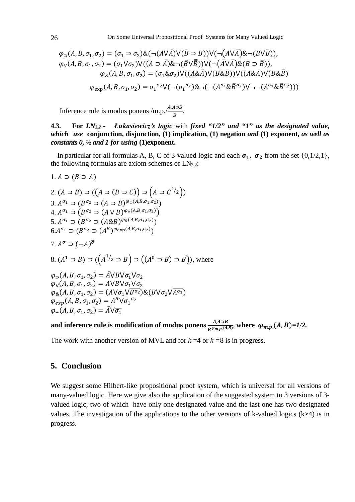$$
\varphi_{\supset}(A, B, \sigma_1, \sigma_2) = (\sigma_1 \supset \sigma_2) \& (\neg(A \vee \overline{A}) \vee (\overline{B} \supset B)) \vee (\neg(A \vee \overline{A}) \& \neg(B \vee \overline{B})),
$$
  

$$
\varphi_{\vee}(A, B, \sigma_1, \sigma_2) = (\sigma_1 \vee \sigma_2) \vee ((A \supset \overline{A}) \& \neg(\overline{B} \vee \overline{B})) \vee (\neg(\overline{A} \vee \overline{A}) \& (B \supset \overline{B})),
$$
  

$$
\varphi_{\&}(A, B, \sigma_1, \sigma_2) = (\sigma_1 \& \sigma_2) \vee ((A \& \overline{A}) \vee (B \& \overline{B})) \vee ((A \& \overline{A}) \vee (B \& \overline{B})
$$
  

$$
\varphi_{\exp}(A, B, \sigma_1, \sigma_2) = \sigma_1^{\sigma_2} \vee (\neg(\sigma_1^{\sigma_2}) \& \neg(\neg(A^{\sigma_1} \& \overline{B}^{\sigma_2}) \vee \neg \neg(A^{\sigma_1} \& \overline{B}^{\sigma_2})))
$$

Inference rule is modus ponens /m.p./ $\frac{A,A\Delta B}{B}$ .

**4.3. For** *LN3,2 - Łukasiewicz's logic* with *fixed "1/2" and "1" as the designated value, which use* **conjunction, disjunction, (1) implication, (1) negation** *and* **(1) exponent,** *as well as constants 0, ½ and 1 for using* **(1)exponent.**

In particular for all formulas A, B, C of 3-valued logic and each  $\sigma_1$ ,  $\sigma_2$  from the set {0,1/2,1}, the following formulas are axiom schemes of  $LN_{3,2}$ :

1. 
$$
A \supset (B \supset A)
$$
  
\n2.  $(A \supset B) \supset ((A \supset (B \supset C)) \supset (A \supset C^{1/2}))$   
\n3.  $A^{\sigma_1} \supset (B^{\sigma_2} \supset (A \supset B)^{\varphi_{\supset}(A, B, \sigma_1, \sigma_2)})$   
\n4.  $A^{\sigma_1} \supset (B^{\sigma_2} \supset (A \vee B)^{\varphi_{\supset}(A, B, \sigma_1, \sigma_2)})$   
\n5.  $A^{\sigma_1} \supset (B^{\sigma_2} \supset (A \& B)^{\varphi_{\&ampset}(A, B, \sigma_1, \sigma_2)})$   
\n6.  $A^{\sigma_1} \supset (B^{\sigma_2} \supset (A^B)^{\varphi_{\exp}(A, B, \sigma_1, \sigma_2)})$   
\n7.  $A^{\sigma} \supset (\neg A)^{\overline{\sigma}}$   
\n8.  $(A^1 \supset B) \supset ((A^{1/2} \supset B) \supset ((A^0 \supset B) \supset B))$ , where  
\n $\varphi \supset (A, B, \sigma_1, \sigma_2) = \overline{A} \vee B \vee \overline{\sigma_1} \vee \sigma_2$   
\n $\varphi \vee (A, B, \sigma_1, \sigma_2) = A \vee B \vee \sigma_1 \vee \sigma_2$   
\n $\varphi \varrho_{\&ampmath>(A, B, \sigma_1, \sigma_2) = (A \vee \sigma_1 \vee \overline{B^{\sigma_2}}) \& (B \vee \sigma_2 \vee \overline{A^{\sigma_1}})$   
\n $\varphi_{\exp}(A, B, \sigma_1, \sigma_2) = A^B \vee \sigma_1^{\sigma_2}$   
\n $\varphi_{-}(A, B, \sigma_1, \sigma_2) = \overline{A} \vee \overline{\sigma_1}$ 

and inference rule is modification of modus ponens  $\frac{A,A\supset B}{B^{\varphi_{m,p,(A,B)}}}$ , where  $\varphi_{m,p,(A,B)=1/2}$ .

The work with another version of MVL and for  $k = 4$  or  $k = 8$  is in progress.

## **5. Conclusion**

We suggest some Hilbert-like propositional proof system, which is universal for all versions of many-valued logic. Here we give also the application of the suggested system to 3 versions of 3 valued logic, two of which have only one designated value and the last one has two designated values. The investigation of the applications to the other versions of k-valued logics (k≥4) is in progress.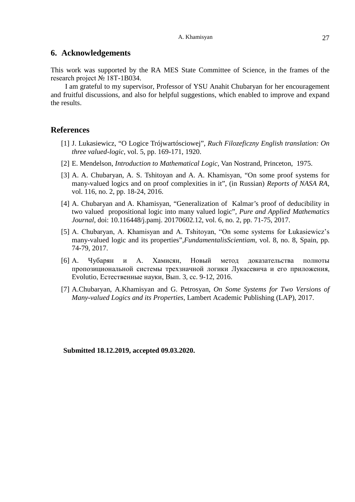### **6. Acknowledgements**

This work was supported by the RA MES State Committee of Science, in the frames of the research project № 18T-1B034.

 I am grateful to my supervisor, Professor of YSU Anahit Chubaryan for her encouragement and fruitful discussions, and also for helpful suggestions, which enabled to improve and expand the results.

## **References**

- [1] J. Lukasiewicz, "O Logice Trójwartósciowej", *Ruch Filozeficzny English translation: On three valued-logic*, vol. 5, pp. 169-171, 1920.
- [2] E. Mendelson, *Introduction to Mathematical Logic*, Van Nostrand, Princeton, 1975.
- [3] A. A. Chubaryan, A. S. Tshitoyan and A. A. Khamisyan, "On some proof systems for many-valued logics and on proof complexities in it", (in Russian) *Reports of NASA RA*, vol. 116, no. 2, pp. 18-24, 2016.
- [4] A. Chubaryan and A. Khamisyan, "Generalization of Kalmar's proof of deducibility in two valued propositional logic into many valued logic", *Pure and Applied Mathematics Journal*, doi: 10.116448/j.pamj. 20170602.12, vol. 6, no. 2, pp. 71-75, 2017.
- [5] A. Chubaryan, A. Khamisyan and A. Tshitoyan, "On some systems for Łukasiewicz's many-valued logic and its properties",*FundamentalisScientiam*, vol. 8, no. 8, Spain, pp. 74-79, 2017.
- [6] А. Чубарян и А. Хамисян, Новый метод доказательства полноты пропозициональной системы трехзначной логики Лукасевича и его приложения, Evolutio, Естественные науки, Вып. 3, сс. 9-12, 2016.
- [7] A.Chubaryan, A.Khamisyan and G. Petrosyan, *On Some Systems for Two Versions of Many-valued Logics and its Properties*, Lambert Academic Publishing (LAP), 2017.

**Submitted 18.12.2019, accepted 09.03.2020.**